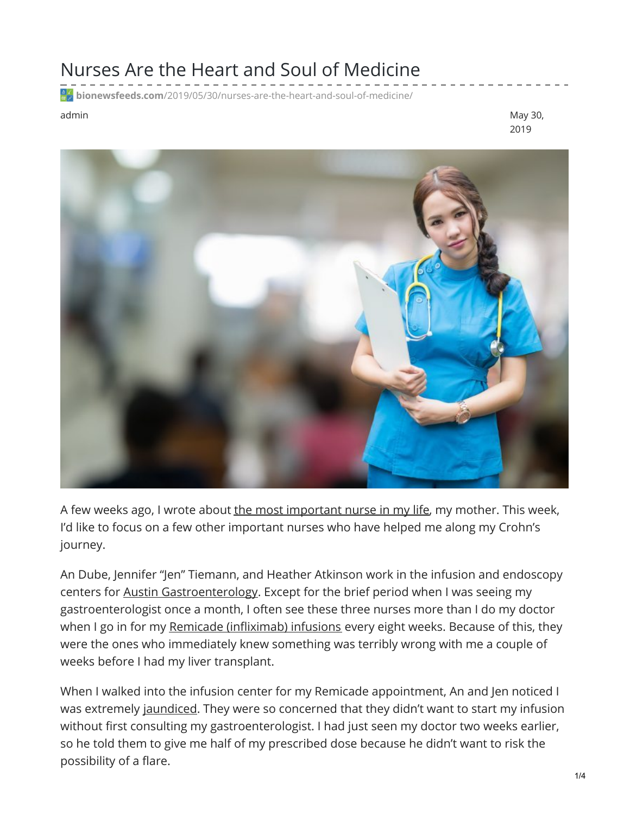## Nurses Are the Heart and Soul of Medicine

**bionewsfeeds.com**[/2019/05/30/nurses-are-the-heart-and-soul-of-medicine/](https://bionewsfeeds.com/2019/05/30/nurses-are-the-heart-and-soul-of-medicine/)

admin May 30, 2019



A few weeks ago, I wrote about the most [important](https://ibdnewstoday.com/2019/05/16/mother-nurse-tiger-mom-support/) nurse in my life, my mother. This week, I'd like to focus on a few other important nurses who have helped me along my Crohn's journey.

An Dube, Jennifer "Jen" Tiemann, and Heather Atkinson work in the infusion and endoscopy centers for Austin [Gastroenterology](https://www.austingastro.com/). Except for the brief period when I was seeing my gastroenterologist once a month, I often see these three nurses more than I do my doctor when I go in for my Remicade [\(infliximab\)](https://www.remicade.com/crohns-disease/how-to-take-remicade) infusions every eight weeks. Because of this, they were the ones who immediately knew something was terribly wrong with me a couple of weeks before I had my liver transplant.

When I walked into the infusion center for my Remicade appointment, An and Jen noticed I was extremely [jaundiced](https://www.merckmanuals.com/home/liver-and-gallbladder-disorders/manifestations-of-liver-disease/jaundice-in-adults). They were so concerned that they didn't want to start my infusion without first consulting my gastroenterologist. I had just seen my doctor two weeks earlier, so he told them to give me half of my prescribed dose because he didn't want to risk the possibility of a flare.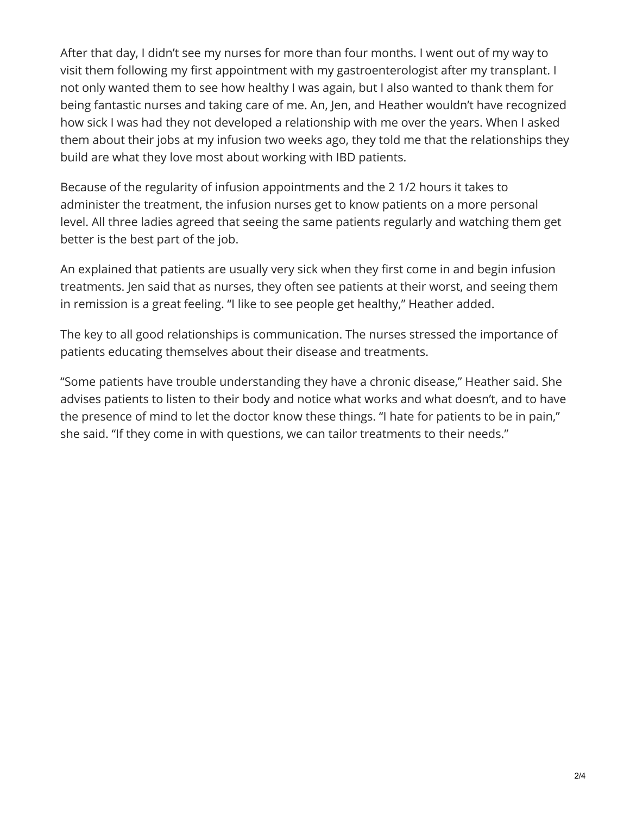After that day, I didn't see my nurses for more than four months. I went out of my way to visit them following my first appointment with my gastroenterologist after my transplant. I not only wanted them to see how healthy I was again, but I also wanted to thank them for being fantastic nurses and taking care of me. An, Jen, and Heather wouldn't have recognized how sick I was had they not developed a relationship with me over the years. When I asked them about their jobs at my infusion two weeks ago, they told me that the relationships they build are what they love most about working with IBD patients.

Because of the regularity of infusion appointments and the 2 1/2 hours it takes to administer the treatment, the infusion nurses get to know patients on a more personal level. All three ladies agreed that seeing the same patients regularly and watching them get better is the best part of the job.

An explained that patients are usually very sick when they first come in and begin infusion treatments. Jen said that as nurses, they often see patients at their worst, and seeing them in remission is a great feeling. "I like to see people get healthy," Heather added.

The key to all good relationships is communication. The nurses stressed the importance of patients educating themselves about their disease and treatments.

"Some patients have trouble understanding they have a chronic disease," Heather said. She advises patients to listen to their body and notice what works and what doesn't, and to have the presence of mind to let the doctor know these things. "I hate for patients to be in pain," she said. "If they come in with questions, we can tailor treatments to their needs."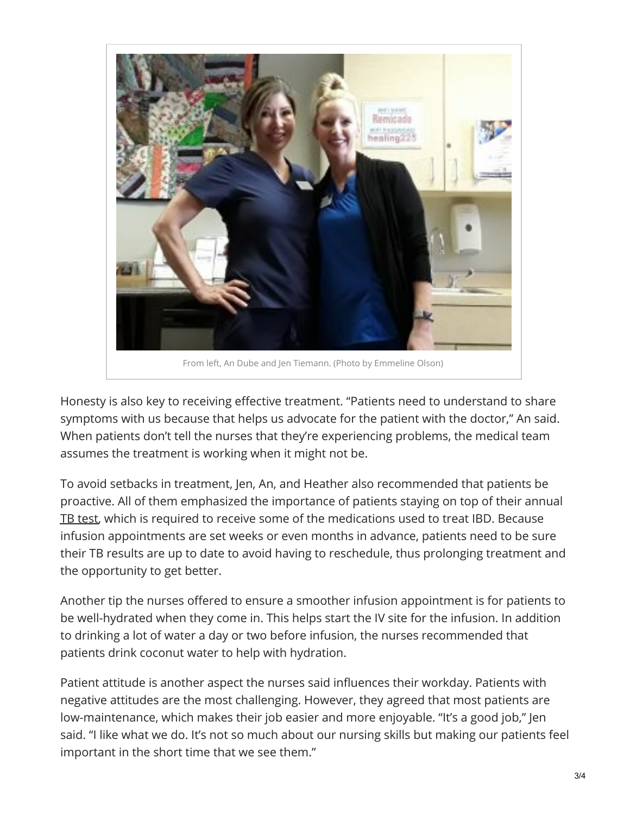

Honesty is also key to receiving effective treatment. "Patients need to understand to share symptoms with us because that helps us advocate for the patient with the doctor," An said. When patients don't tell the nurses that they're experiencing problems, the medical team assumes the treatment is working when it might not be.

To avoid setbacks in treatment, Jen, An, and Heather also recommended that patients be proactive. All of them emphasized the importance of patients staying on top of their annual TB [test](https://www.cdc.gov/tb/topic/testing/tbtesttypes.htm), which is required to receive some of the medications used to treat IBD. Because infusion appointments are set weeks or even months in advance, patients need to be sure their TB results are up to date to avoid having to reschedule, thus prolonging treatment and the opportunity to get better.

Another tip the nurses offered to ensure a smoother infusion appointment is for patients to be well-hydrated when they come in. This helps start the IV site for the infusion. In addition to drinking a lot of water a day or two before infusion, the nurses recommended that patients drink coconut water to help with hydration.

Patient attitude is another aspect the nurses said influences their workday. Patients with negative attitudes are the most challenging. However, they agreed that most patients are low-maintenance, which makes their job easier and more enjoyable. "It's a good job," Jen said. "I like what we do. It's not so much about our nursing skills but making our patients feel important in the short time that we see them."